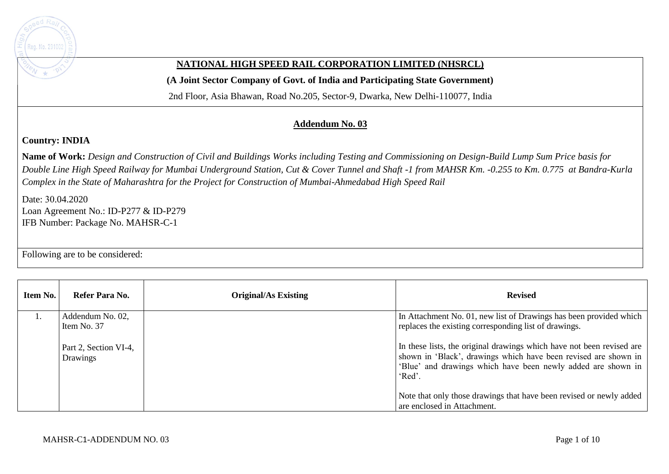

## **NATIONAL HIGH SPEED RAIL CORPORATION LIMITED (NHSRCL)**

**(A Joint Sector Company of Govt. of India and Participating State Government)** 

2nd Floor, Asia Bhawan, Road No.205, Sector-9, Dwarka, New Delhi-110077, India

## **Addendum No. 03**

## **Country: INDIA**

**Name of Work:** *Design and Construction of Civil and Buildings Works including Testing and Commissioning on Design-Build Lump Sum Price basis for Double Line High Speed Railway for Mumbai Underground Station, Cut & Cover Tunnel and Shaft -1 from MAHSR Km. -0.255 to Km. 0.775 at Bandra-Kurla Complex in the State of Maharashtra for the Project for Construction of Mumbai-Ahmedabad High Speed Rail*

Date: 30.04.2020 Loan Agreement No.: ID-P277 & ID-P279 IFB Number: Package No. MAHSR-C-1

Following are to be considered:

| Item No. | Refer Para No.                    | <b>Original/As Existing</b> | <b>Revised</b>                                                                                                                                                                                                     |
|----------|-----------------------------------|-----------------------------|--------------------------------------------------------------------------------------------------------------------------------------------------------------------------------------------------------------------|
|          | Addendum No. 02,<br>Item No. 37   |                             | In Attachment No. 01, new list of Drawings has been provided which<br>replaces the existing corresponding list of drawings.                                                                                        |
|          | Part 2, Section VI-4,<br>Drawings |                             | In these lists, the original drawings which have not been revised are<br>shown in 'Black', drawings which have been revised are shown in<br>'Blue' and drawings which have been newly added are shown in<br>'Red'. |
|          |                                   |                             | Note that only those drawings that have been revised or newly added<br>are enclosed in Attachment.                                                                                                                 |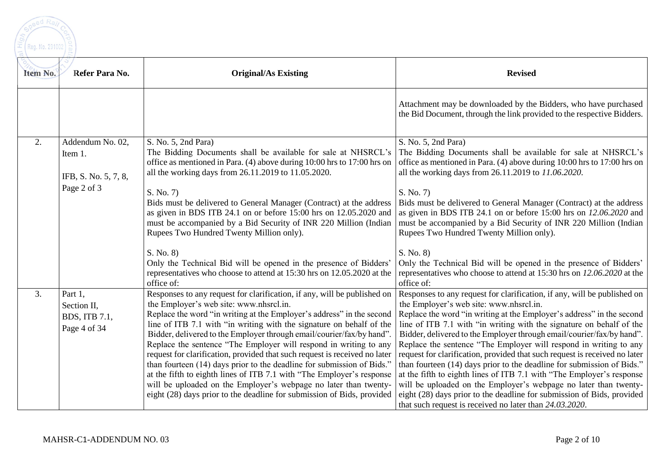

| Item No.         | Refer Para No.                                                     | <b>Original/As Existing</b>                                                                                                                                                                                                                                                                                                                                                                                                                                                                                                                                                                                                                                                                                                                                                                       | <b>Revised</b>                                                                                                                                                                                                                                                                                                                                                                                                                                                                                                                                                                                                                                                                                                                                                                                                                                               |
|------------------|--------------------------------------------------------------------|---------------------------------------------------------------------------------------------------------------------------------------------------------------------------------------------------------------------------------------------------------------------------------------------------------------------------------------------------------------------------------------------------------------------------------------------------------------------------------------------------------------------------------------------------------------------------------------------------------------------------------------------------------------------------------------------------------------------------------------------------------------------------------------------------|--------------------------------------------------------------------------------------------------------------------------------------------------------------------------------------------------------------------------------------------------------------------------------------------------------------------------------------------------------------------------------------------------------------------------------------------------------------------------------------------------------------------------------------------------------------------------------------------------------------------------------------------------------------------------------------------------------------------------------------------------------------------------------------------------------------------------------------------------------------|
|                  |                                                                    |                                                                                                                                                                                                                                                                                                                                                                                                                                                                                                                                                                                                                                                                                                                                                                                                   | Attachment may be downloaded by the Bidders, who have purchased<br>the Bid Document, through the link provided to the respective Bidders.                                                                                                                                                                                                                                                                                                                                                                                                                                                                                                                                                                                                                                                                                                                    |
| $\overline{2}$ . | Addendum No. 02,<br>Item 1.<br>IFB, S. No. 5, 7, 8,<br>Page 2 of 3 | S. No. 5, 2nd Para)<br>The Bidding Documents shall be available for sale at NHSRCL's<br>office as mentioned in Para. (4) above during 10:00 hrs to 17:00 hrs on<br>all the working days from 26.11.2019 to 11.05.2020.<br>S. No. 7)<br>Bids must be delivered to General Manager (Contract) at the address<br>as given in BDS ITB 24.1 on or before 15:00 hrs on 12.05.2020 and<br>must be accompanied by a Bid Security of INR 220 Million (Indian<br>Rupees Two Hundred Twenty Million only).                                                                                                                                                                                                                                                                                                   | S. No. 5, 2nd Para)<br>The Bidding Documents shall be available for sale at NHSRCL's<br>office as mentioned in Para. (4) above during 10:00 hrs to 17:00 hrs on<br>all the working days from 26.11.2019 to 11.06.2020.<br>S. No. 7)<br>Bids must be delivered to General Manager (Contract) at the address<br>as given in BDS ITB 24.1 on or before $15:00$ hrs on $12.06.2020$ and<br>must be accompanied by a Bid Security of INR 220 Million (Indian<br>Rupees Two Hundred Twenty Million only).                                                                                                                                                                                                                                                                                                                                                          |
|                  |                                                                    | S. No. 8)<br>Only the Technical Bid will be opened in the presence of Bidders'<br>representatives who choose to attend at 15:30 hrs on 12.05.2020 at the<br>office of:                                                                                                                                                                                                                                                                                                                                                                                                                                                                                                                                                                                                                            | S. No. 8)<br>Only the Technical Bid will be opened in the presence of Bidders'<br>representatives who choose to attend at 15:30 hrs on 12.06.2020 at the<br>office of:                                                                                                                                                                                                                                                                                                                                                                                                                                                                                                                                                                                                                                                                                       |
| 3.               | Part 1,<br>Section II,<br>BDS, ITB 7.1,<br>Page 4 of 34            | Responses to any request for clarification, if any, will be published on<br>the Employer's web site: www.nhsrcl.in.<br>Replace the word "in writing at the Employer's address" in the second<br>line of ITB 7.1 with "in writing with the signature on behalf of the<br>Bidder, delivered to the Employer through email/courier/fax/by hand".<br>Replace the sentence "The Employer will respond in writing to any<br>request for clarification, provided that such request is received no later<br>than fourteen (14) days prior to the deadline for submission of Bids."<br>at the fifth to eighth lines of ITB 7.1 with "The Employer's response<br>will be uploaded on the Employer's webpage no later than twenty-<br>eight (28) days prior to the deadline for submission of Bids, provided | Responses to any request for clarification, if any, will be published on<br>the Employer's web site: www.nhsrcl.in.<br>Replace the word "in writing at the Employer's address" in the second<br>line of ITB 7.1 with "in writing with the signature on behalf of the<br>Bidder, delivered to the Employer through email/courier/fax/by hand".<br>Replace the sentence "The Employer will respond in writing to any<br>request for clarification, provided that such request is received no later<br>than fourteen (14) days prior to the deadline for submission of Bids."<br>at the fifth to eighth lines of ITB 7.1 with "The Employer's response<br>will be uploaded on the Employer's webpage no later than twenty-<br>eight (28) days prior to the deadline for submission of Bids, provided<br>that such request is received no later than 24.03.2020. |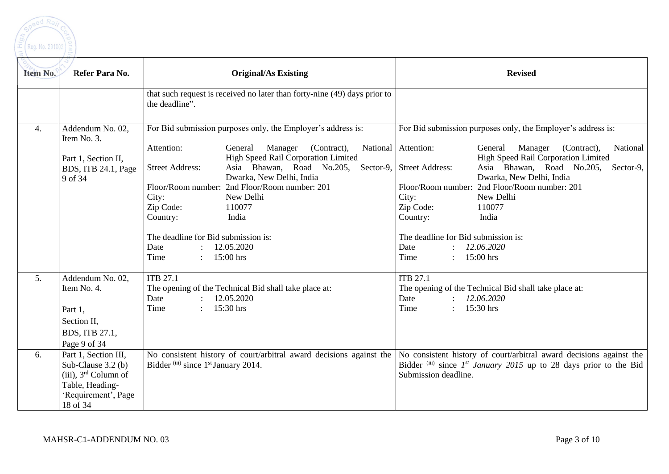

| Item No.         | Refer Para No.                                                                                                                              | <b>Original/As Existing</b>                                                                                                                                                                                                                                                                                                                                                                                                                             | <b>Revised</b>                                                                                                                                                                                                                                                                                                                                                                                                                                                                          |
|------------------|---------------------------------------------------------------------------------------------------------------------------------------------|---------------------------------------------------------------------------------------------------------------------------------------------------------------------------------------------------------------------------------------------------------------------------------------------------------------------------------------------------------------------------------------------------------------------------------------------------------|-----------------------------------------------------------------------------------------------------------------------------------------------------------------------------------------------------------------------------------------------------------------------------------------------------------------------------------------------------------------------------------------------------------------------------------------------------------------------------------------|
|                  |                                                                                                                                             | that such request is received no later than forty-nine (49) days prior to<br>the deadline".                                                                                                                                                                                                                                                                                                                                                             |                                                                                                                                                                                                                                                                                                                                                                                                                                                                                         |
| $\overline{4}$ . | Addendum No. 02,<br>Item No. 3.<br>Part 1, Section II,<br>BDS, ITB 24.1, Page<br>9 of 34                                                    | For Bid submission purposes only, the Employer's address is:<br>Attention:<br>General<br>Manager<br>(Contract),<br><b>High Speed Rail Corporation Limited</b><br>Asia Bhawan, Road No.205,<br><b>Street Address:</b><br>Dwarka, New Delhi, India<br>Floor/Room number: 2nd Floor/Room number: 201<br>City:<br>New Delhi<br>Zip Code:<br>110077<br>Country:<br>India<br>The deadline for Bid submission is:<br>12.05.2020<br>Date<br>Time<br>$15:00$ hrs | For Bid submission purposes only, the Employer's address is:<br>National<br>National   Attention:<br>Manager (Contract),<br>General<br>High Speed Rail Corporation Limited<br>Asia Bhawan, Road No.205,<br>Sector-9, Street Address:<br>Sector-9,<br>Dwarka, New Delhi, India<br>Floor/Room number:<br>2nd Floor/Room number: 201<br>City:<br>New Delhi<br>Zip Code:<br>110077<br>Country:<br>India<br>The deadline for Bid submission is:<br>12.06.2020<br>Date<br>$15:00$ hrs<br>Time |
| 5.<br>6.         | Addendum No. 02,<br>Item No. 4.<br>Part 1,<br>Section II,<br>BDS, ITB 27.1,<br>Page 9 of 34<br>Part 1, Section III,<br>Sub-Clause $3.2$ (b) | <b>ITB 27.1</b><br>The opening of the Technical Bid shall take place at:<br>Date<br>12.05.2020<br>15:30 hrs<br>Time<br>$\mathcal{L}$<br>Bidder (iii) since 1 <sup>st</sup> January 2014.                                                                                                                                                                                                                                                                | <b>ITB 27.1</b><br>The opening of the Technical Bid shall take place at:<br>12.06.2020<br>Date<br>$: 15:30$ hrs<br>Time<br>No consistent history of court/arbitral award decisions against the $\vert$ No consistent history of court/arbitral award decisions against the<br>Bidder $^{(iii)}$ since $1^{st}$ January 2015 up to 28 days prior to the Bid                                                                                                                              |
|                  | $(iii)$ , $3rd$ Column of<br>Table, Heading-<br>'Requirement', Page<br>18 of 34                                                             |                                                                                                                                                                                                                                                                                                                                                                                                                                                         | Submission deadline.                                                                                                                                                                                                                                                                                                                                                                                                                                                                    |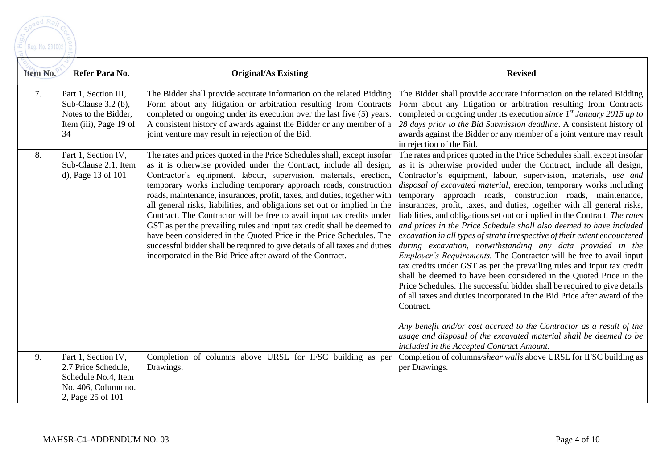

| Item No. | Refer Para No.                                                                                                | <b>Original/As Existing</b>                                                                                                                                                                                                                                                                                                                                                                                                                                                                                                                                                                                                                                                                                                                                                                                                 | <b>Revised</b>                                                                                                                                                                                                                                                                                                                                                                                                                                                                                                                                                                                                                                                                                                                                                                                                                                                                                                                                                                                                                                                                                                                                                                                                                                                                                                                     |
|----------|---------------------------------------------------------------------------------------------------------------|-----------------------------------------------------------------------------------------------------------------------------------------------------------------------------------------------------------------------------------------------------------------------------------------------------------------------------------------------------------------------------------------------------------------------------------------------------------------------------------------------------------------------------------------------------------------------------------------------------------------------------------------------------------------------------------------------------------------------------------------------------------------------------------------------------------------------------|------------------------------------------------------------------------------------------------------------------------------------------------------------------------------------------------------------------------------------------------------------------------------------------------------------------------------------------------------------------------------------------------------------------------------------------------------------------------------------------------------------------------------------------------------------------------------------------------------------------------------------------------------------------------------------------------------------------------------------------------------------------------------------------------------------------------------------------------------------------------------------------------------------------------------------------------------------------------------------------------------------------------------------------------------------------------------------------------------------------------------------------------------------------------------------------------------------------------------------------------------------------------------------------------------------------------------------|
| 7.       | Part 1, Section III,<br>Sub-Clause 3.2 (b),<br>Notes to the Bidder,<br>Item (iii), Page 19 of<br>34           | The Bidder shall provide accurate information on the related Bidding<br>Form about any litigation or arbitration resulting from Contracts<br>completed or ongoing under its execution over the last five (5) years.<br>A consistent history of awards against the Bidder or any member of a<br>joint venture may result in rejection of the Bid.                                                                                                                                                                                                                                                                                                                                                                                                                                                                            | The Bidder shall provide accurate information on the related Bidding<br>Form about any litigation or arbitration resulting from Contracts<br>completed or ongoing under its execution since $1^{st}$ January 2015 up to<br>28 days prior to the Bid Submission deadline. A consistent history of<br>awards against the Bidder or any member of a joint venture may result<br>in rejection of the Bid.                                                                                                                                                                                                                                                                                                                                                                                                                                                                                                                                                                                                                                                                                                                                                                                                                                                                                                                              |
| 8.       | Part 1, Section IV,<br>Sub-Clause 2.1, Item<br>d), Page 13 of 101                                             | The rates and prices quoted in the Price Schedules shall, except insofar<br>as it is otherwise provided under the Contract, include all design,<br>Contractor's equipment, labour, supervision, materials, erection,<br>temporary works including temporary approach roads, construction<br>roads, maintenance, insurances, profit, taxes, and duties, together with<br>all general risks, liabilities, and obligations set out or implied in the<br>Contract. The Contractor will be free to avail input tax credits under<br>GST as per the prevailing rules and input tax credit shall be deemed to<br>have been considered in the Quoted Price in the Price Schedules. The<br>successful bidder shall be required to give details of all taxes and duties<br>incorporated in the Bid Price after award of the Contract. | The rates and prices quoted in the Price Schedules shall, except insofar<br>as it is otherwise provided under the Contract, include all design,<br>Contractor's equipment, labour, supervision, materials, use and<br>disposal of excavated material, erection, temporary works including<br>temporary approach roads, construction roads, maintenance,<br>insurances, profit, taxes, and duties, together with all general risks,<br>liabilities, and obligations set out or implied in the Contract. The rates<br>and prices in the Price Schedule shall also deemed to have included<br>excavation in all types of strata irrespective of their extent encountered<br>during excavation, notwithstanding any data provided in the<br><i>Employer's Requirements.</i> The Contractor will be free to avail input<br>tax credits under GST as per the prevailing rules and input tax credit<br>shall be deemed to have been considered in the Quoted Price in the<br>Price Schedules. The successful bidder shall be required to give details<br>of all taxes and duties incorporated in the Bid Price after award of the<br>Contract.<br>Any benefit and/or cost accrued to the Contractor as a result of the<br>usage and disposal of the excavated material shall be deemed to be<br>included in the Accepted Contract Amount. |
| 9.       | Part 1, Section IV,<br>2.7 Price Schedule,<br>Schedule No.4, Item<br>No. 406, Column no.<br>2, Page 25 of 101 | Completion of columns above URSL for IFSC building as per<br>Drawings.                                                                                                                                                                                                                                                                                                                                                                                                                                                                                                                                                                                                                                                                                                                                                      | Completion of columns/shear walls above URSL for IFSC building as<br>per Drawings.                                                                                                                                                                                                                                                                                                                                                                                                                                                                                                                                                                                                                                                                                                                                                                                                                                                                                                                                                                                                                                                                                                                                                                                                                                                 |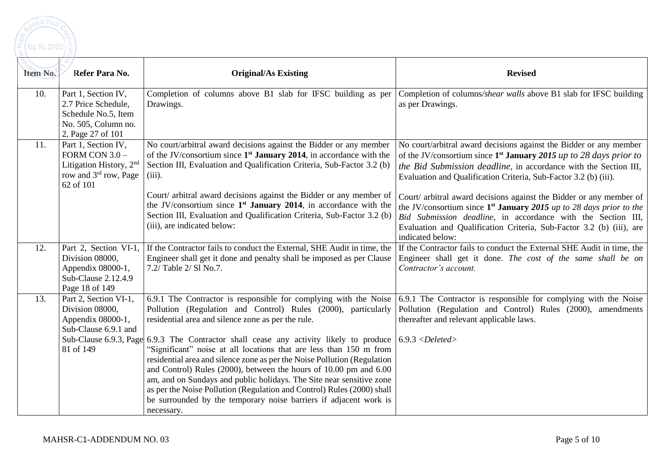| Item No. | Refer Para No.                                                                                                                   | <b>Original/As Existing</b>                                                                                                                                                                                                                                                                                                                                                                                                                                                                                                                                                                                                                                                                                                                                        | <b>Revised</b>                                                                                                                                                                                                                                                                                                                                                                                                                                                                                                                                                                                    |
|----------|----------------------------------------------------------------------------------------------------------------------------------|--------------------------------------------------------------------------------------------------------------------------------------------------------------------------------------------------------------------------------------------------------------------------------------------------------------------------------------------------------------------------------------------------------------------------------------------------------------------------------------------------------------------------------------------------------------------------------------------------------------------------------------------------------------------------------------------------------------------------------------------------------------------|---------------------------------------------------------------------------------------------------------------------------------------------------------------------------------------------------------------------------------------------------------------------------------------------------------------------------------------------------------------------------------------------------------------------------------------------------------------------------------------------------------------------------------------------------------------------------------------------------|
| 10.      | Part 1, Section IV,<br>2.7 Price Schedule,<br>Schedule No.5, Item<br>No. 505, Column no.<br>2, Page 27 of 101                    | Completion of columns above B1 slab for IFSC building as per<br>Drawings.                                                                                                                                                                                                                                                                                                                                                                                                                                                                                                                                                                                                                                                                                          | Completion of columns/shear walls above B1 slab for IFSC building<br>as per Drawings.                                                                                                                                                                                                                                                                                                                                                                                                                                                                                                             |
| 11.      | Part 1, Section IV,<br>FORM CON $3.0 -$<br>Litigation History, 2 <sup>nd</sup><br>row and 3 <sup>rd</sup> row, Page<br>62 of 101 | No court/arbitral award decisions against the Bidder or any member<br>of the JV/consortium since $1st$ January 2014, in accordance with the<br>Section III, Evaluation and Qualification Criteria, Sub-Factor 3.2 (b)<br>$(iii)$ .<br>Court/ arbitral award decisions against the Bidder or any member of<br>the JV/consortium since 1 <sup>st</sup> January 2014, in accordance with the<br>Section III, Evaluation and Qualification Criteria, Sub-Factor 3.2 (b)<br>(iii), are indicated below:                                                                                                                                                                                                                                                                 | No court/arbitral award decisions against the Bidder or any member<br>of the JV/consortium since $1st$ January 2015 up to 28 days prior to<br>the Bid Submission deadline, in accordance with the Section III,<br>Evaluation and Qualification Criteria, Sub-Factor 3.2 (b) (iii).<br>Court/ arbitral award decisions against the Bidder or any member of<br>the JV/consortium since $1^{st}$ January 2015 up to 28 days prior to the<br>Bid Submission deadline, in accordance with the Section III,<br>Evaluation and Qualification Criteria, Sub-Factor 3.2 (b) (iii), are<br>indicated below: |
| 12.      | Part 2, Section VI-1,<br>Division 08000,<br>Appendix 08000-1,<br>Sub-Clause 2.12.4.9<br>Page 18 of 149                           | If the Contractor fails to conduct the External, SHE Audit in time, the<br>Engineer shall get it done and penalty shall be imposed as per Clause<br>7.2/ Table 2/ Sl No.7.                                                                                                                                                                                                                                                                                                                                                                                                                                                                                                                                                                                         | If the Contractor fails to conduct the External SHE Audit in time, the<br>Engineer shall get it done. The cost of the same shall be on<br>Contractor's account.                                                                                                                                                                                                                                                                                                                                                                                                                                   |
| 13.      | Part 2, Section VI-1,<br>Division 08000,<br>Appendix 08000-1,<br>Sub-Clause 6.9.1 and<br>81 of 149                               | 6.9.1 The Contractor is responsible for complying with the Noise<br>Pollution (Regulation and Control) Rules (2000), particularly<br>residential area and silence zone as per the rule.<br>Sub-Clause 6.9.3, Page $6.9.3$ The Contractor shall cease any activity likely to produce $6.9.3 <$ Deleted><br>"Significant" noise at all locations that are less than 150 m from<br>residential area and silence zone as per the Noise Pollution (Regulation<br>and Control) Rules (2000), between the hours of 10.00 pm and 6.00<br>am, and on Sundays and public holidays. The Site near sensitive zone<br>as per the Noise Pollution (Regulation and Control) Rules (2000) shall<br>be surrounded by the temporary noise barriers if adjacent work is<br>necessary. | 6.9.1 The Contractor is responsible for complying with the Noise<br>Pollution (Regulation and Control) Rules (2000), amendments<br>thereafter and relevant applicable laws.                                                                                                                                                                                                                                                                                                                                                                                                                       |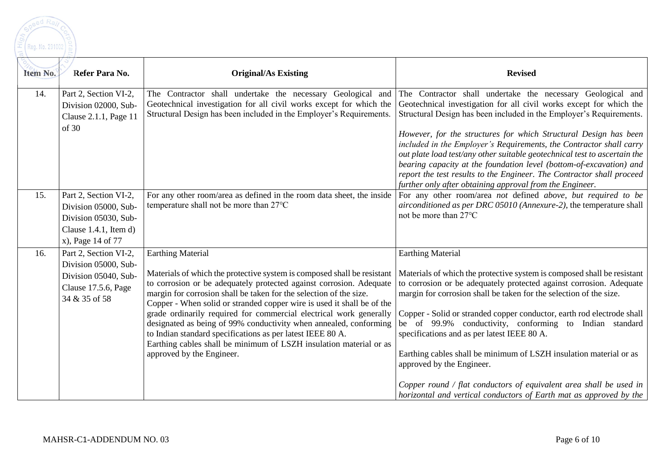

| Item No. | Refer Para No.                                                                                                         | <b>Original/As Existing</b>                                                                                                                                                                                                                                                                                                                                                                                                                                                                                                                                                                                                            | <b>Revised</b>                                                                                                                                                                                                                                                                                                                                                                                                                                                                                                                                                                                                                                                                        |
|----------|------------------------------------------------------------------------------------------------------------------------|----------------------------------------------------------------------------------------------------------------------------------------------------------------------------------------------------------------------------------------------------------------------------------------------------------------------------------------------------------------------------------------------------------------------------------------------------------------------------------------------------------------------------------------------------------------------------------------------------------------------------------------|---------------------------------------------------------------------------------------------------------------------------------------------------------------------------------------------------------------------------------------------------------------------------------------------------------------------------------------------------------------------------------------------------------------------------------------------------------------------------------------------------------------------------------------------------------------------------------------------------------------------------------------------------------------------------------------|
| 14.      | Part 2, Section VI-2,<br>Division 02000, Sub-<br>Clause 2.1.1, Page 11                                                 | The Contractor shall undertake the necessary Geological and<br>Geotechnical investigation for all civil works except for which the<br>Structural Design has been included in the Employer's Requirements.                                                                                                                                                                                                                                                                                                                                                                                                                              | The Contractor shall undertake the necessary Geological and<br>Geotechnical investigation for all civil works except for which the<br>Structural Design has been included in the Employer's Requirements.                                                                                                                                                                                                                                                                                                                                                                                                                                                                             |
|          | of 30                                                                                                                  |                                                                                                                                                                                                                                                                                                                                                                                                                                                                                                                                                                                                                                        | However, for the structures for which Structural Design has been<br>included in the Employer's Requirements, the Contractor shall carry<br>out plate load test/any other suitable geotechnical test to ascertain the<br>bearing capacity at the foundation level (bottom-of-excavation) and<br>report the test results to the Engineer. The Contractor shall proceed<br>further only after obtaining approval from the Engineer.                                                                                                                                                                                                                                                      |
| 15.      | Part 2, Section VI-2,<br>Division 05000, Sub-<br>Division 05030, Sub-<br>Clause $1.4.1$ , Item d)<br>x), Page 14 of 77 | For any other room/area as defined in the room data sheet, the inside<br>temperature shall not be more than 27°C                                                                                                                                                                                                                                                                                                                                                                                                                                                                                                                       | For any other room/area not defined above, but required to be<br>airconditioned as per DRC 05010 (Annexure-2), the temperature shall<br>not be more than $27^{\circ}$ C                                                                                                                                                                                                                                                                                                                                                                                                                                                                                                               |
| 16.      | Part 2, Section VI-2,<br>Division 05000, Sub-<br>Division 05040, Sub-<br>Clause 17.5.6, Page<br>34 & 35 of 58          | <b>Earthing Material</b><br>Materials of which the protective system is composed shall be resistant<br>to corrosion or be adequately protected against corrosion. Adequate<br>margin for corrosion shall be taken for the selection of the size.<br>Copper - When solid or stranded copper wire is used it shall be of the<br>grade ordinarily required for commercial electrical work generally<br>designated as being of 99% conductivity when annealed, conforming<br>to Indian standard specifications as per latest IEEE 80 A.<br>Earthing cables shall be minimum of LSZH insulation material or as<br>approved by the Engineer. | <b>Earthing Material</b><br>Materials of which the protective system is composed shall be resistant<br>to corrosion or be adequately protected against corrosion. Adequate<br>margin for corrosion shall be taken for the selection of the size.<br>Copper - Solid or stranded copper conductor, earth rod electrode shall<br>be of 99.9% conductivity, conforming to Indian standard<br>specifications and as per latest IEEE 80 A.<br>Earthing cables shall be minimum of LSZH insulation material or as<br>approved by the Engineer.<br>Copper round $/$ flat conductors of equivalent area shall be used in<br>horizontal and vertical conductors of Earth mat as approved by the |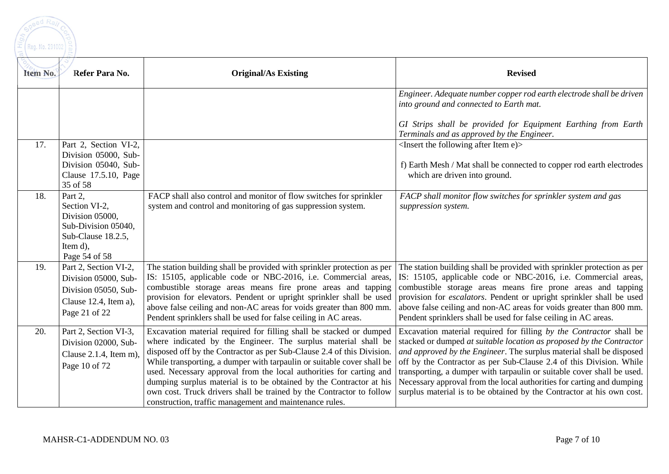

| Item No. | Refer Para No.                                                                                                        | <b>Original/As Existing</b>                                                                                                                                                                                                                                                                                                                                                                                                                                                                                                                                                | <b>Revised</b>                                                                                                                                                                                                                                                                                                                                                                                                                                                                                                         |
|----------|-----------------------------------------------------------------------------------------------------------------------|----------------------------------------------------------------------------------------------------------------------------------------------------------------------------------------------------------------------------------------------------------------------------------------------------------------------------------------------------------------------------------------------------------------------------------------------------------------------------------------------------------------------------------------------------------------------------|------------------------------------------------------------------------------------------------------------------------------------------------------------------------------------------------------------------------------------------------------------------------------------------------------------------------------------------------------------------------------------------------------------------------------------------------------------------------------------------------------------------------|
|          |                                                                                                                       |                                                                                                                                                                                                                                                                                                                                                                                                                                                                                                                                                                            | Engineer. Adequate number copper rod earth electrode shall be driven<br>into ground and connected to Earth mat.                                                                                                                                                                                                                                                                                                                                                                                                        |
|          |                                                                                                                       |                                                                                                                                                                                                                                                                                                                                                                                                                                                                                                                                                                            | GI Strips shall be provided for Equipment Earthing from Earth<br>Terminals and as approved by the Engineer.                                                                                                                                                                                                                                                                                                                                                                                                            |
| 17.      | Part 2, Section VI-2,<br>Division 05000, Sub-<br>Division 05040, Sub-<br>Clause 17.5.10, Page<br>35 of 58             |                                                                                                                                                                                                                                                                                                                                                                                                                                                                                                                                                                            | $\leq$ Insert the following after Item e) $>$<br>f) Earth Mesh / Mat shall be connected to copper rod earth electrodes<br>which are driven into ground.                                                                                                                                                                                                                                                                                                                                                                |
| 18.      | Part 2,<br>Section VI-2,<br>Division 05000,<br>Sub-Division 05040,<br>Sub-Clause 18.2.5,<br>Item d),<br>Page 54 of 58 | FACP shall also control and monitor of flow switches for sprinkler<br>system and control and monitoring of gas suppression system.                                                                                                                                                                                                                                                                                                                                                                                                                                         | FACP shall monitor flow switches for sprinkler system and gas<br>suppression system.                                                                                                                                                                                                                                                                                                                                                                                                                                   |
| 19.      | Part 2, Section VI-2,<br>Division 05000, Sub-<br>Division 05050, Sub-<br>Clause 12.4, Item a),<br>Page 21 of 22       | The station building shall be provided with sprinkler protection as per<br>IS: 15105, applicable code or NBC-2016, i.e. Commercial areas,<br>combustible storage areas means fire prone areas and tapping<br>provision for elevators. Pendent or upright sprinkler shall be used<br>above false ceiling and non-AC areas for voids greater than 800 mm.<br>Pendent sprinklers shall be used for false ceiling in AC areas.                                                                                                                                                 | The station building shall be provided with sprinkler protection as per<br>IS: 15105, applicable code or NBC-2016, i.e. Commercial areas,<br>combustible storage areas means fire prone areas and tapping<br>provision for <i>escalators</i> . Pendent or upright sprinkler shall be used<br>above false ceiling and non-AC areas for voids greater than 800 mm.<br>Pendent sprinklers shall be used for false ceiling in AC areas.                                                                                    |
| 20.      | Part 2, Section VI-3,<br>Division 02000, Sub-<br>Clause $2.1.4$ , Item m),<br>Page 10 of 72                           | Excavation material required for filling shall be stacked or dumped<br>where indicated by the Engineer. The surplus material shall be<br>disposed off by the Contractor as per Sub-Clause 2.4 of this Division.<br>While transporting, a dumper with tarpaulin or suitable cover shall be<br>used. Necessary approval from the local authorities for carting and<br>dumping surplus material is to be obtained by the Contractor at his<br>own cost. Truck drivers shall be trained by the Contractor to follow<br>construction, traffic management and maintenance rules. | Excavation material required for filling by the Contractor shall be<br>stacked or dumped at suitable location as proposed by the Contractor<br>and approved by the Engineer. The surplus material shall be disposed<br>off by the Contractor as per Sub-Clause 2.4 of this Division. While<br>transporting, a dumper with tarpaulin or suitable cover shall be used.<br>Necessary approval from the local authorities for carting and dumping<br>surplus material is to be obtained by the Contractor at his own cost. |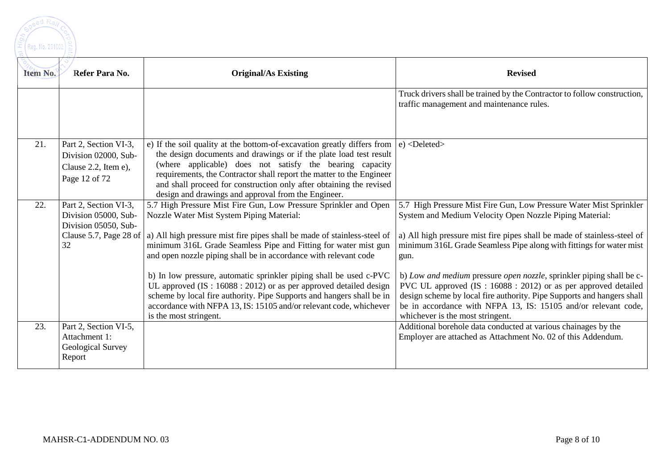

| Item No. | Refer Para No.                                                                                        | <b>Original/As Existing</b>                                                                                                                                                                                                                                                                                                                                                                                                                                                                                                                                                                                                                          | <b>Revised</b>                                                                                                                                                                                                                                                                                                                                                                                                                                                                                                                                                                                                     |
|----------|-------------------------------------------------------------------------------------------------------|------------------------------------------------------------------------------------------------------------------------------------------------------------------------------------------------------------------------------------------------------------------------------------------------------------------------------------------------------------------------------------------------------------------------------------------------------------------------------------------------------------------------------------------------------------------------------------------------------------------------------------------------------|--------------------------------------------------------------------------------------------------------------------------------------------------------------------------------------------------------------------------------------------------------------------------------------------------------------------------------------------------------------------------------------------------------------------------------------------------------------------------------------------------------------------------------------------------------------------------------------------------------------------|
|          |                                                                                                       |                                                                                                                                                                                                                                                                                                                                                                                                                                                                                                                                                                                                                                                      | Truck drivers shall be trained by the Contractor to follow construction,<br>traffic management and maintenance rules.                                                                                                                                                                                                                                                                                                                                                                                                                                                                                              |
| 21.      | Part 2, Section VI-3,<br>Division 02000, Sub-<br>Clause 2.2, Item e),<br>Page 12 of 72                | e) If the soil quality at the bottom-of-excavation greatly differs from $ e\rangle$ <deleted><br/>the design documents and drawings or if the plate load test result<br/>(where applicable) does not satisfy the bearing capacity<br/>requirements, the Contractor shall report the matter to the Engineer<br/>and shall proceed for construction only after obtaining the revised<br/>design and drawings and approval from the Engineer.</deleted>                                                                                                                                                                                                 |                                                                                                                                                                                                                                                                                                                                                                                                                                                                                                                                                                                                                    |
| 22.      | Part 2, Section VI-3,<br>Division 05000, Sub-<br>Division 05050, Sub-<br>Clause 5.7, Page 28 of<br>32 | 5.7 High Pressure Mist Fire Gun, Low Pressure Sprinkler and Open<br>Nozzle Water Mist System Piping Material:<br>a) All high pressure mist fire pipes shall be made of stainless-steel of<br>minimum 316L Grade Seamless Pipe and Fitting for water mist gun<br>and open nozzle piping shall be in accordance with relevant code<br>b) In low pressure, automatic sprinkler piping shall be used c-PVC<br>UL approved (IS: 16088 : 2012) or as per approved detailed design<br>scheme by local fire authority. Pipe Supports and hangers shall be in<br>accordance with NFPA 13, IS: 15105 and/or relevant code, whichever<br>is the most stringent. | 5.7 High Pressure Mist Fire Gun, Low Pressure Water Mist Sprinkler<br>System and Medium Velocity Open Nozzle Piping Material:<br>a) All high pressure mist fire pipes shall be made of stainless-steel of<br>minimum 316L Grade Seamless Pipe along with fittings for water mist<br>gun.<br>b) Low and medium pressure open nozzle, sprinkler piping shall be c-<br>PVC UL approved (IS: 16088 : 2012) or as per approved detailed<br>design scheme by local fire authority. Pipe Supports and hangers shall<br>be in accordance with NFPA 13, IS: 15105 and/or relevant code,<br>whichever is the most stringent. |
| 23.      | Part 2, Section VI-5,<br>Attachment 1:<br>Geological Survey<br>Report                                 |                                                                                                                                                                                                                                                                                                                                                                                                                                                                                                                                                                                                                                                      | Additional borehole data conducted at various chainages by the<br>Employer are attached as Attachment No. 02 of this Addendum.                                                                                                                                                                                                                                                                                                                                                                                                                                                                                     |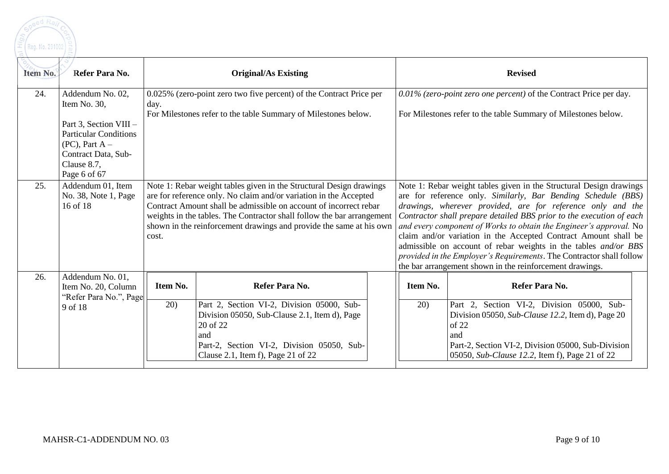

| Item No. | Refer Para No.                    | <b>Original/As Existing</b>                                            |                                                                                                                                          |  |                                                                                                                                      | <b>Revised</b>                                                                                                                          |  |
|----------|-----------------------------------|------------------------------------------------------------------------|------------------------------------------------------------------------------------------------------------------------------------------|--|--------------------------------------------------------------------------------------------------------------------------------------|-----------------------------------------------------------------------------------------------------------------------------------------|--|
| 24.      | Addendum No. 02,                  |                                                                        | 0.025% (zero-point zero two five percent) of the Contract Price per                                                                      |  | 0.01% (zero-point zero one percent) of the Contract Price per day.                                                                   |                                                                                                                                         |  |
|          | Item No. 30,                      | day.                                                                   |                                                                                                                                          |  |                                                                                                                                      |                                                                                                                                         |  |
|          | Part 3, Section VIII -            | For Milestones refer to the table Summary of Milestones below.         |                                                                                                                                          |  |                                                                                                                                      | For Milestones refer to the table Summary of Milestones below.                                                                          |  |
|          | <b>Particular Conditions</b>      |                                                                        |                                                                                                                                          |  |                                                                                                                                      |                                                                                                                                         |  |
|          | $(PC)$ , Part A –                 |                                                                        |                                                                                                                                          |  |                                                                                                                                      |                                                                                                                                         |  |
|          | Contract Data, Sub-               |                                                                        |                                                                                                                                          |  |                                                                                                                                      |                                                                                                                                         |  |
|          | Clause 8.7,                       |                                                                        |                                                                                                                                          |  |                                                                                                                                      |                                                                                                                                         |  |
| 25.      | Page 6 of 67<br>Addendum 01, Item |                                                                        |                                                                                                                                          |  |                                                                                                                                      |                                                                                                                                         |  |
|          | No. 38, Note 1, Page              |                                                                        | Note 1: Rebar weight tables given in the Structural Design drawings<br>are for reference only. No claim and/or variation in the Accepted |  | Note 1: Rebar weight tables given in the Structural Design drawings<br>are for reference only. Similarly, Bar Bending Schedule (BBS) |                                                                                                                                         |  |
|          | 16 of 18                          |                                                                        | Contract Amount shall be admissible on account of incorrect rebar                                                                        |  | drawings, wherever provided, are for reference only and the                                                                          |                                                                                                                                         |  |
|          |                                   | weights in the tables. The Contractor shall follow the bar arrangement |                                                                                                                                          |  |                                                                                                                                      | Contractor shall prepare detailed BBS prior to the execution of each                                                                    |  |
|          |                                   |                                                                        | shown in the reinforcement drawings and provide the same at his own                                                                      |  |                                                                                                                                      | and every component of Works to obtain the Engineer's approval. No                                                                      |  |
|          |                                   | cost.                                                                  |                                                                                                                                          |  |                                                                                                                                      | claim and/or variation in the Accepted Contract Amount shall be                                                                         |  |
|          |                                   |                                                                        |                                                                                                                                          |  |                                                                                                                                      | admissible on account of rebar weights in the tables and/or BBS<br>provided in the Employer's Requirements. The Contractor shall follow |  |
|          |                                   |                                                                        |                                                                                                                                          |  |                                                                                                                                      | the bar arrangement shown in the reinforcement drawings.                                                                                |  |
| 26.      | Addendum No. 01,                  |                                                                        |                                                                                                                                          |  |                                                                                                                                      |                                                                                                                                         |  |
|          | Item No. 20, Column               | Item No.                                                               | Refer Para No.                                                                                                                           |  | Item No.                                                                                                                             | Refer Para No.                                                                                                                          |  |
|          | "Refer Para No.", Page<br>9 of 18 | 20)                                                                    | Part 2, Section VI-2, Division 05000, Sub-                                                                                               |  | 20)                                                                                                                                  | Part 2, Section VI-2, Division 05000, Sub-                                                                                              |  |
|          |                                   |                                                                        | Division 05050, Sub-Clause 2.1, Item d), Page                                                                                            |  |                                                                                                                                      | Division 05050, Sub-Clause 12.2, Item d), Page 20                                                                                       |  |
|          |                                   |                                                                        | 20 of 22                                                                                                                                 |  |                                                                                                                                      | of 22                                                                                                                                   |  |
|          |                                   |                                                                        | and                                                                                                                                      |  |                                                                                                                                      | and                                                                                                                                     |  |
|          |                                   |                                                                        | Part-2, Section VI-2, Division 05050, Sub-<br>Clause 2.1, Item f), Page 21 of 22                                                         |  |                                                                                                                                      | Part-2, Section VI-2, Division 05000, Sub-Division<br>05050, Sub-Clause 12.2, Item f), Page 21 of 22                                    |  |
|          |                                   |                                                                        |                                                                                                                                          |  |                                                                                                                                      |                                                                                                                                         |  |